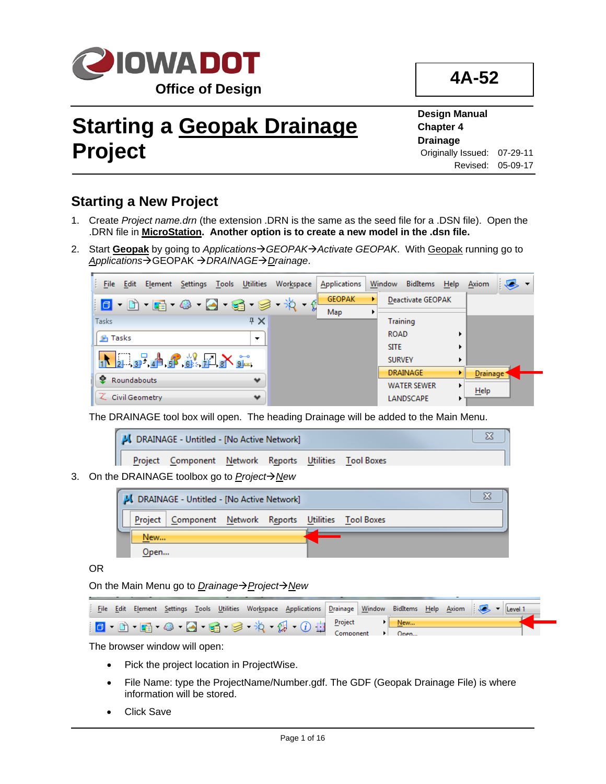

**4A-52**

# **Starting a Geopak Drainage Project**

**Design Manual Chapter 4 Drainage** Originally Issued: 07-29-11 Revised: 05-09-17

# **Starting a New Project**

- 1. Create *Project name.drn* (the extension .DRN is the same as the seed file for a .DSN file).Open the .DRN file in **MicroStation. Another option is to create a new model in the .dsn file.**
- 2. Start Geopak by going to *Applications-> GEOPAK-> Activate GEOPAK*. With Geopak running go to **Applications→GEOPAK → DRAINAGE→ Drainage.**

| File Edit Element Settings Tools Utilities Workspace | Applications  | Window BidItems Help     |   | Axiom                 |  |
|------------------------------------------------------|---------------|--------------------------|---|-----------------------|--|
| ▏ <mark>O</mark> ▸ ∐Ò ▸ ⋤ä • ∅ • ⊆ä • ⋦ä • ≸ǎ • ∯    | <b>GEOPAK</b> | <b>Deactivate GEOPAK</b> |   |                       |  |
|                                                      | Map           |                          |   |                       |  |
| $4 \times$<br><b>Tasks</b>                           |               | <b>Training</b>          |   |                       |  |
| <b>P</b> Tasks<br>$\overline{\phantom{a}}$           |               | <b>ROAD</b>              |   |                       |  |
|                                                      |               | <b>SITE</b>              |   |                       |  |
| 1 2 3 4 6 6 7 8 9                                    |               | <b>SURVEY</b>            |   |                       |  |
| $\bullet$<br>Roundabouts<br>$\bullet$                |               | <b>DRAINAGE</b>          |   | Drainage <sup>+</sup> |  |
|                                                      |               | <b>WATER SEWER</b>       | ▶ | Help                  |  |
| Civil Geometry<br>$\bullet$                          |               | LANDSCAPE                |   |                       |  |

The DRAINAGE tool box will open. The heading Drainage will be added to the Main Menu.

|  | JU DRAINAGE - Untitled - [No Active Network]           |  |  |  |
|--|--------------------------------------------------------|--|--|--|
|  | Project Component Network Reports Utilities Tool Boxes |  |  |  |

3. On the DRAINAGE toolbox go to *Project* $\rightarrow$  New

|      | JU DRAINAGE - Untitled - [No Active Network]             |  |  |  |
|------|----------------------------------------------------------|--|--|--|
|      | Project   Component Network Reports Utilities Tool Boxes |  |  |  |
| New  |                                                          |  |  |  |
| Open |                                                          |  |  |  |

OR

On the Main Menu go to *Drainage→ Project→ New* 

|  | File Edit |  |  | Element Settings Tools Utilities Workspace Applications Drainage Window Bidltems Help Axiom                                                                                                                                                                                                                                                         |  |     |  |  |  |
|--|-----------|--|--|-----------------------------------------------------------------------------------------------------------------------------------------------------------------------------------------------------------------------------------------------------------------------------------------------------------------------------------------------------|--|-----|--|--|--|
|  |           |  |  | $\begin{picture}(10,10) \put(0,0){\line(1,0){10}} \put(15,0){\line(1,0){10}} \put(15,0){\line(1,0){10}} \put(15,0){\line(1,0){10}} \put(15,0){\line(1,0){10}} \put(15,0){\line(1,0){10}} \put(15,0){\line(1,0){10}} \put(15,0){\line(1,0){10}} \put(15,0){\line(1,0){10}} \put(15,0){\line(1,0){10}} \put(15,0){\line(1,0){10}} \put(15,0){\line(1$ |  | New |  |  |  |
|  |           |  |  |                                                                                                                                                                                                                                                                                                                                                     |  |     |  |  |  |

The browser window will open:

- Pick the project location in ProjectWise.
- File Name: type the ProjectName/Number.gdf. The GDF (Geopak Drainage File) is where information will be stored.
- Click Save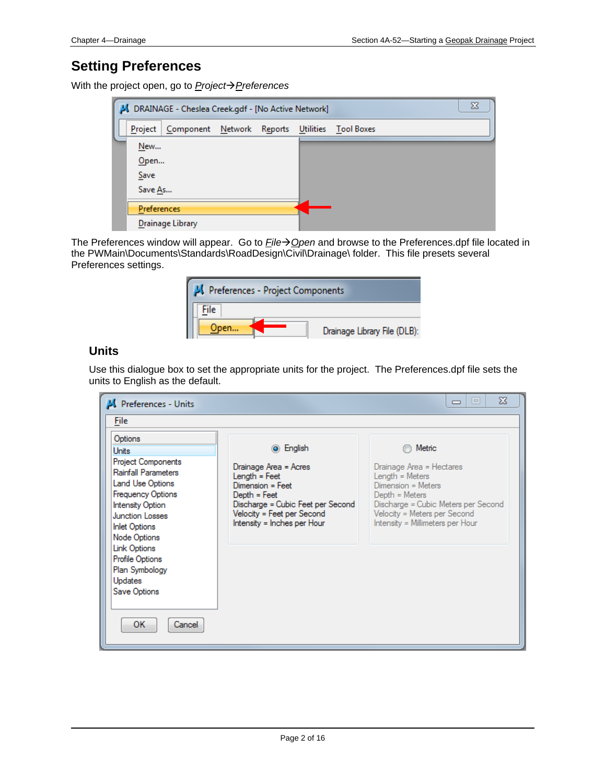## **Setting Preferences**

With the project open, go to **Project** $\rightarrow$  Preferences

|                | J DRAINAGE - Cheslea Creek.gdf - [No Active Network] |  |                      | 23 |
|----------------|------------------------------------------------------|--|----------------------|----|
| <b>Project</b> | Component Network Reports                            |  | Utilities Tool Boxes |    |
| New            |                                                      |  |                      |    |
| Open           |                                                      |  |                      |    |
| Save           |                                                      |  |                      |    |
| Save As        |                                                      |  |                      |    |
| Preferences    |                                                      |  |                      |    |
|                | Drainage Library                                     |  |                      |    |

The Preferences window will appear. Go to *File*→ Open and browse to the Preferences.dpf file located in the PWMain\Documents\Standards\RoadDesign\Civil\Drainage\ folder. This file presets several Preferences settings.

| Preferences - Project Components |                              |  |  |  |  |  |
|----------------------------------|------------------------------|--|--|--|--|--|
| File                             |                              |  |  |  |  |  |
| )pen                             | Drainage Library File (DLB): |  |  |  |  |  |

## **Units**

Use this dialogue box to set the appropriate units for the project. The Preferences.dpf file sets the units to English as the default.

| <b>M</b> Preferences - Units                                                                                                                                                                                                                                                                                             |                                                                                                                                                                                             | $\boldsymbol{\mathbb{X}}$<br>$\Box$<br>$\Box$                                                                                                                                                              |
|--------------------------------------------------------------------------------------------------------------------------------------------------------------------------------------------------------------------------------------------------------------------------------------------------------------------------|---------------------------------------------------------------------------------------------------------------------------------------------------------------------------------------------|------------------------------------------------------------------------------------------------------------------------------------------------------------------------------------------------------------|
| <b>File</b>                                                                                                                                                                                                                                                                                                              |                                                                                                                                                                                             |                                                                                                                                                                                                            |
| Options<br>Units<br>Project Components<br><b>Rainfall Parameters</b><br>Land Use Options<br><b>Frequency Options</b><br><b>Intensity Option</b><br><b>Junction Losses</b><br><b>Inlet Options</b><br>Node Options<br>Link Options<br>Profile Options<br>Plan Symbology<br><b>Updates</b><br>Save Options<br>ОΚ<br>Cancel | ◉ English<br>Drainage Area = Acres<br>Length = Feet<br>Dimension = Feet<br>$Depth = Feet$<br>Discharge = Cubic Feet per Second<br>Velocity = Feet per Second<br>Intensity = Inches per Hour | Metric<br>Drainage Area = Hectares<br>Length = Meters<br>$Dimension = Meters$<br>Depth = Meters<br>Discharge = Cubic Meters per Second<br>Velocity = Meters per Second<br>Intensity = Millimeters per Hour |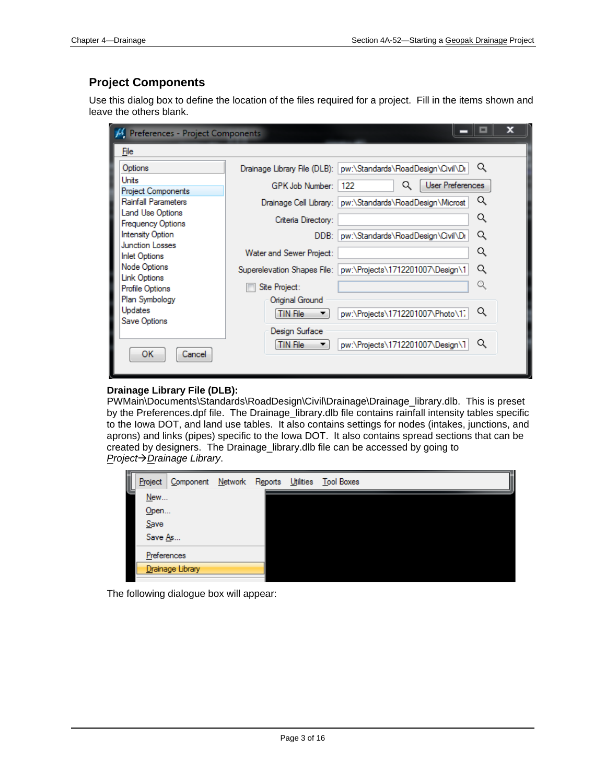## **Project Components**

Use this dialog box to define the location of the files required for a project. Fill in the items shown and leave the others blank.

| M Preferences - Project Components               |                                    |                                                                  |                  |  |
|--------------------------------------------------|------------------------------------|------------------------------------------------------------------|------------------|--|
| File                                             |                                    |                                                                  |                  |  |
| Options                                          |                                    | Drainage Library File (DLB):   pw:\Standards\RoadDesign\Civil\Dr | Q                |  |
| Units                                            | GPK Job Number:                    | Q<br>122                                                         | User Preferences |  |
| Project Components<br><b>Rainfall Parameters</b> |                                    | Drainage Cell Library:   pw:\Standards\RoadDesign\Microst        | Q                |  |
| Land Use Options                                 | Criteria Directory:                |                                                                  | Q                |  |
| <b>Frequency Options</b><br>Intensity Option     | DDB:                               | pw:\Standards\RoadDesign\Civil\Dr                                | Q                |  |
| <b>Junction Losses</b>                           |                                    |                                                                  |                  |  |
| <b>Inlet Options</b>                             | Water and Sewer Project:           |                                                                  | Q                |  |
| Node Options<br>Link Options                     | Superelevation Shapes File:        | pw:\Projects\1712201007\Design\1                                 | Q                |  |
| Profile Options                                  | Site Project:                      |                                                                  | Q                |  |
| Plan Symbology<br><b>Updates</b><br>Save Options | Original Ground<br><b>TIN File</b> | pw:\Projects\1712201007\Photo\1;                                 | Q                |  |
| ОΚ<br>Cancel                                     | Design Surface<br><b>TIN File</b>  | pw:\Projects\1712201007\Design\1                                 | Q                |  |
|                                                  |                                    |                                                                  |                  |  |

#### **Drainage Library File (DLB):**

PWMain\Documents\Standards\RoadDesign\Civil\Drainage\Drainage\_library.dlb. This is preset by the Preferences.dpf file. The Drainage\_library.dlb file contains rainfall intensity tables specific to the Iowa DOT, and land use tables. It also contains settings for nodes (intakes, junctions, and aprons) and links (pipes) specific to the Iowa DOT. It also contains spread sections that can be created by designers. The Drainage\_library.dlb file can be accessed by going to *ProjectDrainage Library*.

| Project     | Component        | Network Reports |  | Utilities Tool Boxes |
|-------------|------------------|-----------------|--|----------------------|
| New<br>Open |                  |                 |  |                      |
| Save        |                  |                 |  |                      |
| Save As     |                  |                 |  |                      |
| Preferences |                  |                 |  |                      |
|             | Drainage Library |                 |  |                      |

The following dialogue box will appear: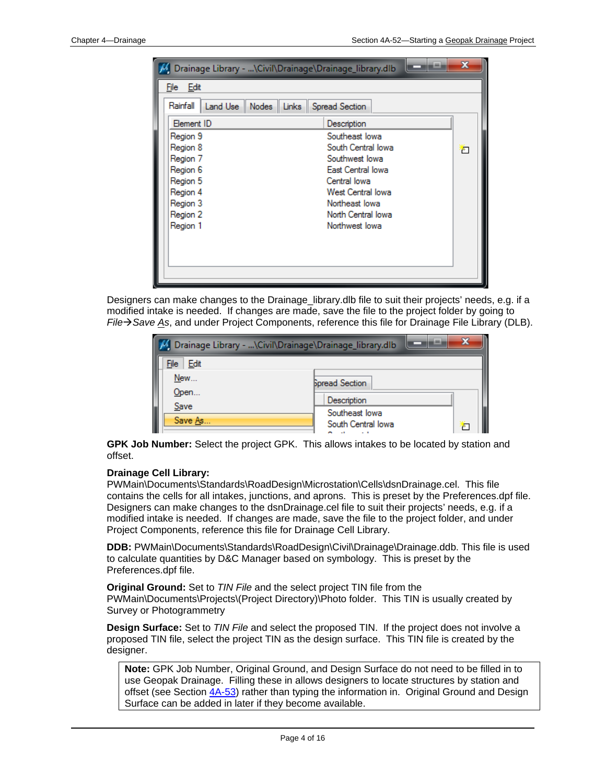| Drainage Library - \Civil\Drainage\Drainage_library.dlb  |                    |   |
|----------------------------------------------------------|--------------------|---|
| File Edit                                                |                    |   |
| Rainfall<br>Land Use    Nodes    Links    Spread Section |                    |   |
| <b>Element ID</b>                                        | Description        |   |
| Region 9                                                 | Southeast lowa     |   |
| Region 8                                                 | South Central lowa | ħ |
| Region 7                                                 | Southwest lowal    |   |
| Region 6                                                 | East Central lowa  |   |
| Region 5                                                 | Central lowa       |   |
| Region 4                                                 | West Central lowa  |   |
| Region 3                                                 | Northeast lowa     |   |
| Region 2                                                 | North Central lowa |   |
| Region 1                                                 | Northwest lowa     |   |
|                                                          |                    |   |
|                                                          |                    |   |
|                                                          |                    |   |
|                                                          |                    |   |
|                                                          |                    |   |

Designers can make changes to the Drainage\_library.dlb file to suit their projects' needs, e.g. if a modified intake is needed. If changes are made, save the file to the project folder by going to *FileSave As*, and under Project Components, reference this file for Drainage File Library (DLB).

| ıш<br>M Drainage Library - \Civil\Drainage\Drainage_library.dlb |                               |  |  |  |  |  |  |
|-----------------------------------------------------------------|-------------------------------|--|--|--|--|--|--|
| File Edit                                                       |                               |  |  |  |  |  |  |
| New                                                             | <b>Spread Section</b>         |  |  |  |  |  |  |
| Open<br>Save                                                    | Description<br>Southeast lowa |  |  |  |  |  |  |
| Save As                                                         | South Central lowa            |  |  |  |  |  |  |

**GPK Job Number:** Select the project GPK. This allows intakes to be located by station and offset.

#### **Drainage Cell Library:**

PWMain\Documents\Standards\RoadDesign\Microstation\Cells\dsnDrainage.cel. This file contains the cells for all intakes, junctions, and aprons. This is preset by the Preferences.dpf file. Designers can make changes to the dsnDrainage.cel file to suit their projects' needs, e.g. if a modified intake is needed. If changes are made, save the file to the project folder, and under Project Components, reference this file for Drainage Cell Library.

**DDB:** PWMain\Documents\Standards\RoadDesign\Civil\Drainage\Drainage.ddb. This file is used to calculate quantities by D&C Manager based on symbology. This is preset by the Preferences.dpf file.

**Original Ground:** Set to *TIN File* and the select project TIN file from the PWMain\Documents\Projects\(Project Directory)\Photo folder. This TIN is usually created by Survey or Photogrammetry

**Design Surface:** Set to *TIN File* and select the proposed TIN. If the project does not involve a proposed TIN file, select the project TIN as the design surface. This TIN file is created by the designer.

**Note:** GPK Job Number, Original Ground, and Design Surface do not need to be filled in to use Geopak Drainage. Filling these in allows designers to locate structures by station and offset (see Section 4A-53) rather than typing the information in. Original Ground and Design Surface can be added in later if they become available.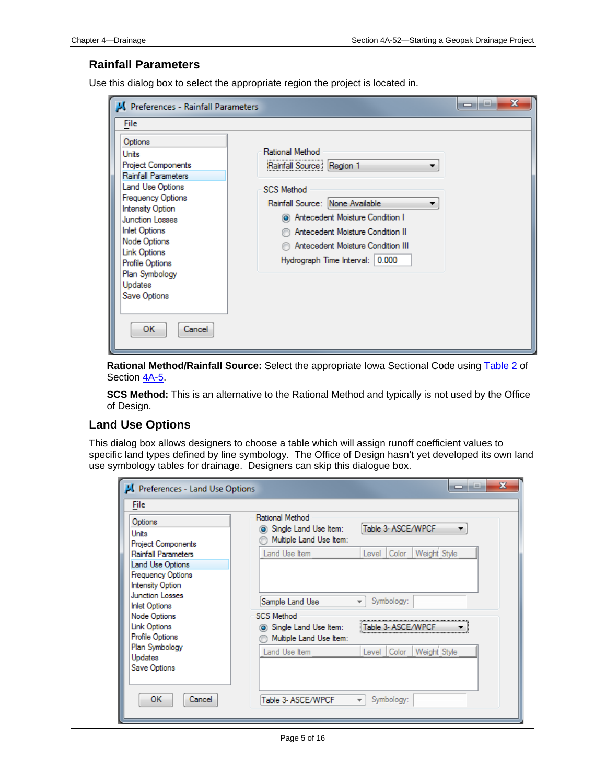#### **Rainfall Parameters**

Use this dialog box to select the appropriate region the project is located in.

**Rational Method/Rainfall Source:** Select the appropriate Iowa Sectional Code using Table 2 of Section 4A-5.

**SCS Method:** This is an alternative to the Rational Method and typically is not used by the Office of Design.

#### **Land Use Options**

This dialog box allows designers to choose a table which will assign runoff coefficient values to specific land types defined by line symbology. The Office of Design hasn't yet developed its own land use symbology tables for drainage. Designers can skip this dialogue box.

| Preferences - Land Use Options                                                                        |                                                                           | х<br>-                                 |
|-------------------------------------------------------------------------------------------------------|---------------------------------------------------------------------------|----------------------------------------|
| File                                                                                                  |                                                                           |                                        |
| Options<br>Units<br><b>Project Components</b>                                                         | Rational Method<br>(a) Single Land Use Item:<br>Multiple Land Use Item:   | Table 3- ASCE/WPCF                     |
| Rainfall Parameters                                                                                   | Land Use Item                                                             | Weight Style<br>Level Color            |
| Land Use Options                                                                                      |                                                                           |                                        |
| <b>Frequency Options</b><br><b>Intensity Option</b><br><b>Junction Losses</b><br><b>Inlet Options</b> | Sample Land Use                                                           | Symbology:<br>$\overline{\phantom{a}}$ |
| Node Options<br>Link Options<br>Profile Options                                                       | <b>SCS Method</b><br>(a) Single Land Use Item:<br>Multiple Land Use Item: | Table 3- ASCF/WP                       |
| Plan Symbology<br><b>Updates</b><br>Save Options                                                      | Land Use Item                                                             | Weight Style<br>Color<br>Level         |
| ОΚ<br>Cancel                                                                                          | Table 3- ASCE/WPCF                                                        | Symbology:<br>$\overline{\phantom{a}}$ |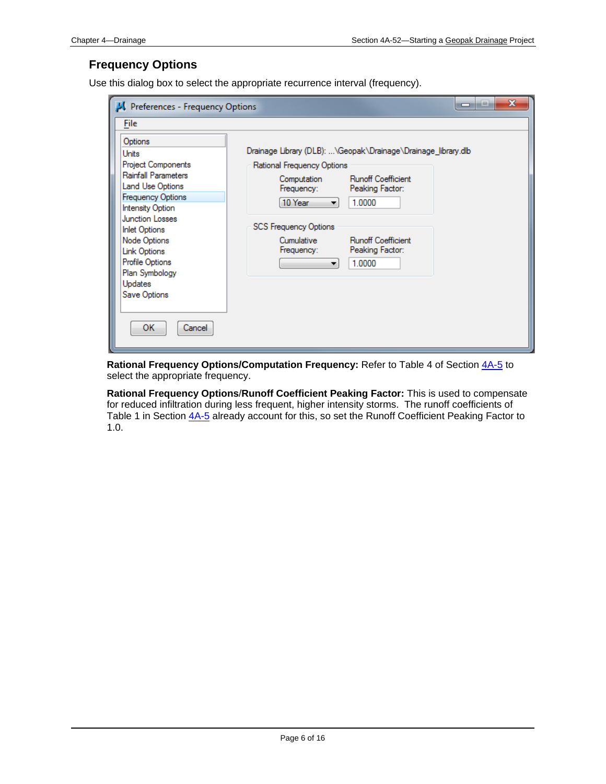## **Frequency Options**

Use this dialog box to select the appropriate recurrence interval (frequency).

| Preferences - Frequency Options                                                                                                                                                                                                                                                                                                 |                                                                                                                                                                                                                                                                                                                               | x<br>هي<br>- |
|---------------------------------------------------------------------------------------------------------------------------------------------------------------------------------------------------------------------------------------------------------------------------------------------------------------------------------|-------------------------------------------------------------------------------------------------------------------------------------------------------------------------------------------------------------------------------------------------------------------------------------------------------------------------------|--------------|
| <b>File</b>                                                                                                                                                                                                                                                                                                                     |                                                                                                                                                                                                                                                                                                                               |              |
| Options<br>Units<br><b>Project Components</b><br><b>Rainfall Parameters</b><br>Land Use Options<br><b>Frequency Options</b><br><b>Intensity Option</b><br>Junction Losses<br><b>Inlet Options</b><br>Node Options<br><b>Link Options</b><br>Profile Options<br>Plan Symbology<br><b>Updates</b><br>Save Options<br>ОΚ<br>Cancel | Drainage Library (DLB): \Geopak\Drainage\Drainage library.dlb<br>Rational Frequency Options<br><b>Runoff Coefficient</b><br>Computation<br>Frequency:<br>Peaking Factor:<br>1.0000<br>10 Year<br>▼<br><b>SCS Frequency Options</b><br><b>Runoff Coefficient</b><br>Cumulative<br>Peaking Factor:<br>Frequency:<br>1.0000<br>▼ |              |

Rational Frequency Options/Computation Frequency: Refer to Table 4 of Section  $4A-5$  to select the appropriate frequency.

**Rational Frequency Options**/**Runoff Coefficient Peaking Factor:** This is used to compensate for reduced infiltration during less frequent, higher intensity storms. The runoff coefficients of Table 1 in Section  $4A-5$  already account for this, so set the Runoff Coefficient Peaking Factor to 1.0.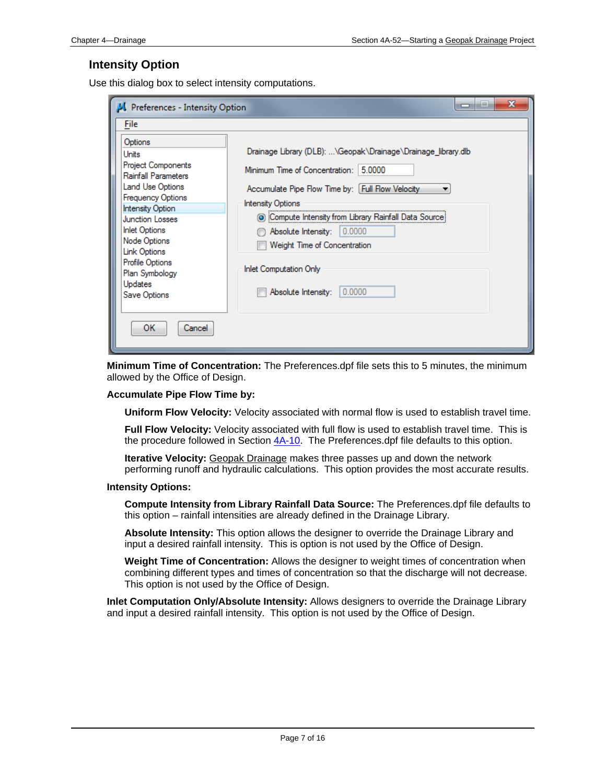#### **Intensity Option**

Use this dialog box to select intensity computations.

| Preferences - Intensity Option                                                                                                                                                                                                                                                                    | х<br>لداد<br>$\overline{\phantom{a}}$                                                                                                                                                                                                                                                                                                                                            |
|---------------------------------------------------------------------------------------------------------------------------------------------------------------------------------------------------------------------------------------------------------------------------------------------------|----------------------------------------------------------------------------------------------------------------------------------------------------------------------------------------------------------------------------------------------------------------------------------------------------------------------------------------------------------------------------------|
| <b>File</b>                                                                                                                                                                                                                                                                                       |                                                                                                                                                                                                                                                                                                                                                                                  |
| Options<br>Units<br><b>Project Components</b><br>Rainfall Parameters<br>Land Use Options<br><b>Frequency Options</b><br>Intensity Option<br><b>Junction Losses</b><br><b>Inlet Options</b><br>Node Options<br>Link Options<br>Profile Options<br>Plan Symbology<br><b>Updates</b><br>Save Options | Drainage Library (DLB): \Geopak\Drainage\Drainage_library.dlb<br>Minimum Time of Concentration: 5.0000<br>Accumulate Pipe Flow Time by: [Full Flow Velocity<br><b>Intensity Options</b><br>© Compute Intensity from Library Rainfall Data Source<br>Absolute Intensity: 0.0000<br>Weight Time of Concentration<br><b>Inlet Computation Only</b><br>0.0000<br>Absolute Intensity: |
| οк<br>Cancel                                                                                                                                                                                                                                                                                      |                                                                                                                                                                                                                                                                                                                                                                                  |

**Minimum Time of Concentration:** The Preferences.dpf file sets this to 5 minutes, the minimum allowed by the Office of Design.

#### **Accumulate Pipe Flow Time by:**

**Uniform Flow Velocity:** Velocity associated with normal flow is used to establish travel time.

**Full Flow Velocity:** Velocity associated with full flow is used to establish travel time. This is the procedure followed in Section  $4A-10$ . The Preferences dpf file defaults to this option.

**Iterative Velocity:** Geopak Drainage makes three passes up and down the network performing runoff and hydraulic calculations. This option provides the most accurate results.

#### **Intensity Options:**

**Compute Intensity from Library Rainfall Data Source:** The Preferences.dpf file defaults to this option – rainfall intensities are already defined in the Drainage Library.

**Absolute Intensity:** This option allows the designer to override the Drainage Library and input a desired rainfall intensity. This is option is not used by the Office of Design.

**Weight Time of Concentration:** Allows the designer to weight times of concentration when combining different types and times of concentration so that the discharge will not decrease. This option is not used by the Office of Design.

**Inlet Computation Only/Absolute Intensity:** Allows designers to override the Drainage Library and input a desired rainfall intensity. This option is not used by the Office of Design.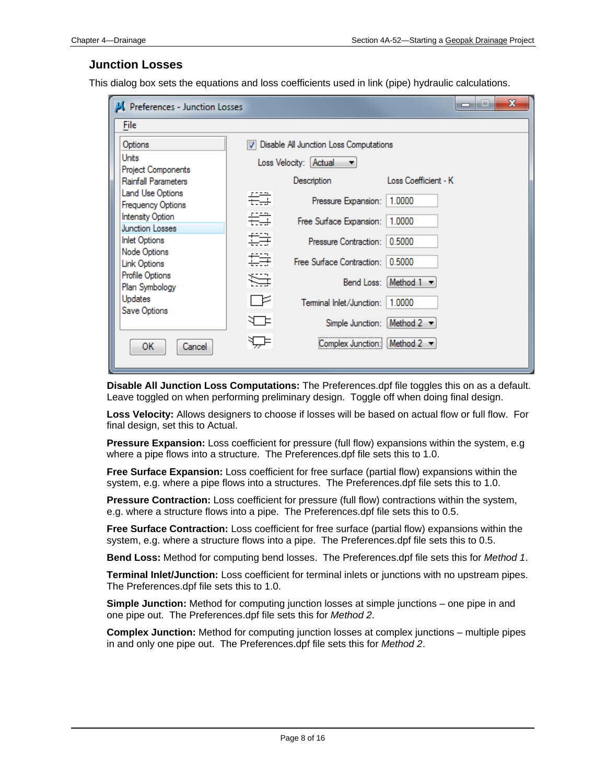#### **Junction Losses**

This dialog box sets the equations and loss coefficients used in link (pipe) hydraulic calculations.

| Preferences - Junction Losses              | أكأيرا<br>-                                              | х |  |
|--------------------------------------------|----------------------------------------------------------|---|--|
| <b>File</b>                                |                                                          |   |  |
| Options                                    | Disable All Junction Loss Computations<br>$\overline{J}$ |   |  |
| Units<br>Project Components                | Loss Velocity: [Actual<br>▼                              |   |  |
| Rainfall Parameters                        | Loss Coefficient - K<br>Description                      |   |  |
| Land Use Options<br>Frequency Options      | 岩草<br>1.0000<br>Pressure Expansion:                      |   |  |
| Intensity Option<br><b>Junction Losses</b> | 岩草<br>1.0000<br>Free Surface Expansion:                  |   |  |
| <b>Inlet Options</b><br>Node Options       | 套手<br>0.5000<br>Pressure Contraction:                    |   |  |
| Link Options                               | 套手<br>0.5000<br>Free Surface Contraction:                |   |  |
| Profile Options<br>Plan Symbology          | ≋∄<br>Bend Loss: Method 1                                |   |  |
| Updates<br>Save Options                    | ⊨≍<br>Terminal Inlet/Junction:<br>1.0000                 |   |  |
|                                            | ₩<br>Simple Junction: [Method $2 -$                      |   |  |
| ОΚ<br>Cancel                               | ₩<br>Method $2 -$<br>Complex Junction:                   |   |  |

**Disable All Junction Loss Computations:** The Preferences.dpf file toggles this on as a default. Leave toggled on when performing preliminary design. Toggle off when doing final design.

**Loss Velocity:** Allows designers to choose if losses will be based on actual flow or full flow. For final design, set this to Actual.

**Pressure Expansion:** Loss coefficient for pressure (full flow) expansions within the system, e.g where a pipe flows into a structure. The Preferences.dpf file sets this to 1.0.

**Free Surface Expansion:** Loss coefficient for free surface (partial flow) expansions within the system, e.g. where a pipe flows into a structures. The Preferences.dpf file sets this to 1.0.

**Pressure Contraction:** Loss coefficient for pressure (full flow) contractions within the system, e.g. where a structure flows into a pipe. The Preferences.dpf file sets this to 0.5.

**Free Surface Contraction:** Loss coefficient for free surface (partial flow) expansions within the system, e.g. where a structure flows into a pipe. The Preferences.dpf file sets this to 0.5.

**Bend Loss:** Method for computing bend losses. The Preferences.dpf file sets this for *Method 1*.

**Terminal Inlet/Junction:** Loss coefficient for terminal inlets or junctions with no upstream pipes. The Preferences.dpf file sets this to 1.0.

**Simple Junction:** Method for computing junction losses at simple junctions – one pipe in and one pipe out. The Preferences.dpf file sets this for *Method 2*.

**Complex Junction:** Method for computing junction losses at complex junctions – multiple pipes in and only one pipe out. The Preferences.dpf file sets this for *Method 2*.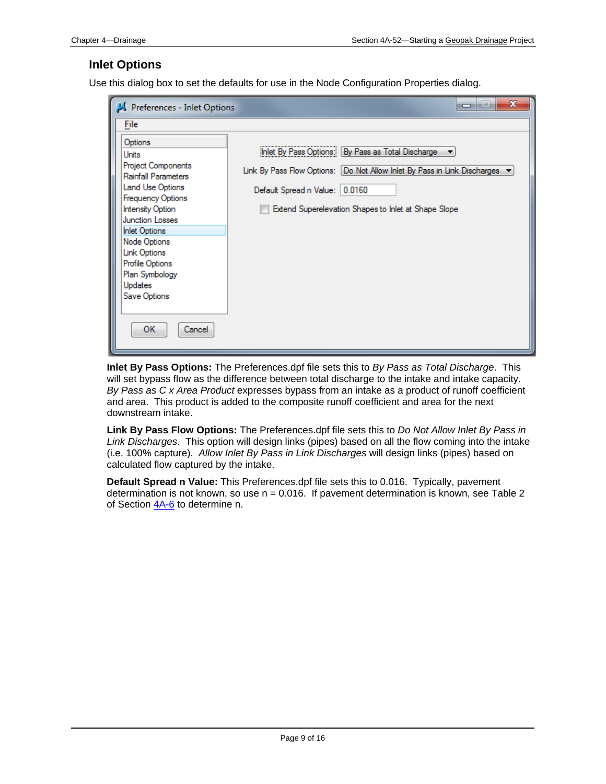#### **Inlet Options**

Use this dialog box to set the defaults for use in the Node Configuration Properties dialog.

| Preferences - Inlet Options                         | x<br>أهل<br>-                                                             |
|-----------------------------------------------------|---------------------------------------------------------------------------|
| File                                                |                                                                           |
| Options                                             |                                                                           |
| Units                                               | Inlet By Pass Options: [By Pass as Total Discharge                        |
| Project Components<br>Rainfall Parameters           | Link By Pass Flow Options: [Do Not Allow Inlet By Pass in Link Discharges |
| Land Use Options                                    | Default Spread n Value: 0.0160                                            |
| <b>Frequency Options</b><br><b>Intensity Option</b> | Extend Superelevation Shapes to Inlet at Shape Slope                      |
| <b>Junction Losses</b>                              |                                                                           |
| <b>Inlet Options</b>                                |                                                                           |
| Node Options                                        |                                                                           |
| Link Options                                        |                                                                           |
| Profile Options<br>Plan Symbology                   |                                                                           |
| Updates                                             |                                                                           |
| Save Options                                        |                                                                           |
|                                                     |                                                                           |
| ОΚ<br>Cancel                                        |                                                                           |

**Inlet By Pass Options:** The Preferences.dpf file sets this to *By Pass as Total Discharge*. This will set bypass flow as the difference between total discharge to the intake and intake capacity. *By Pass as C x Area Product* expresses bypass from an intake as a product of runoff coefficient and area. This product is added to the composite runoff coefficient and area for the next downstream intake.

**Link By Pass Flow Options:** The Preferences.dpf file sets this to *Do Not Allow Inlet By Pass in Link Discharges*. This option will design links (pipes) based on all the flow coming into the intake (i.e. 100% capture). *Allow Inlet By Pass in Link Discharges* will design links (pipes) based on calculated flow captured by the intake.

**Default Spread n Value:** This Preferences.dpf file sets this to 0.016. Typically, pavement determination is not known, so use  $n = 0.016$ . If pavement determination is known, see Table 2 of Section  $4A-6$  to determine n.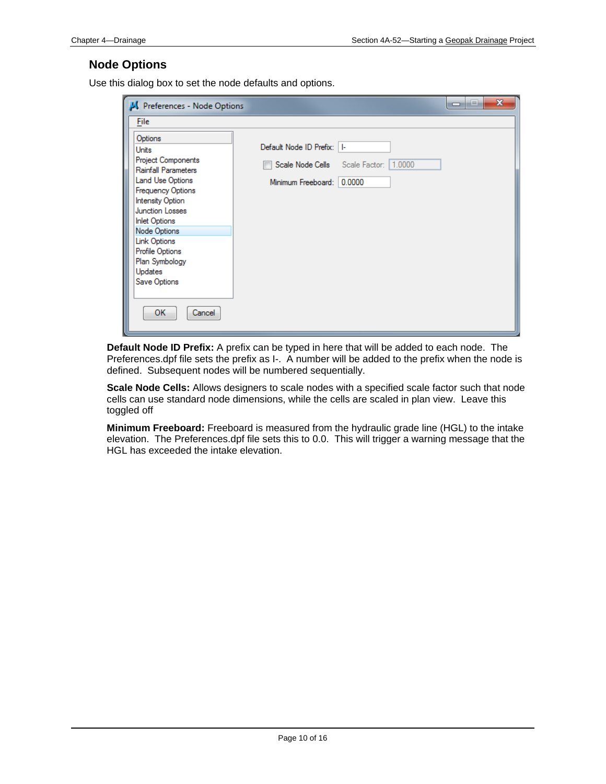## **Node Options**

Use this dialog box to set the node defaults and options.

| Preferences - Node Options                              |                                         | $\mathbf x$<br>اد رص |
|---------------------------------------------------------|-----------------------------------------|----------------------|
| File                                                    |                                         |                      |
| Options                                                 |                                         |                      |
| Units                                                   | Default Node ID Prefix:   I-            |                      |
| <b>Project Components</b><br><b>Rainfall Parameters</b> | Scale Node Cells Scale Factor:   1.0000 |                      |
| Land Use Options                                        | Minimum Freeboard: 0.0000               |                      |
| <b>Frequency Options</b><br>Intensity Option            |                                         |                      |
| <b>Junction Losses</b>                                  |                                         |                      |
| <b>Inlet Options</b>                                    |                                         |                      |
| Node Options                                            |                                         |                      |
| Link Options                                            |                                         |                      |
| Profile Options<br>Plan Symbology                       |                                         |                      |
| Updates                                                 |                                         |                      |
| Save Options                                            |                                         |                      |
|                                                         |                                         |                      |
| OK.<br>Cancel                                           |                                         |                      |

**Default Node ID Prefix:** A prefix can be typed in here that will be added to each node. The Preferences.dpf file sets the prefix as I-. A number will be added to the prefix when the node is defined. Subsequent nodes will be numbered sequentially.

**Scale Node Cells:** Allows designers to scale nodes with a specified scale factor such that node cells can use standard node dimensions, while the cells are scaled in plan view. Leave this toggled off

**Minimum Freeboard:** Freeboard is measured from the hydraulic grade line (HGL) to the intake elevation. The Preferences.dpf file sets this to 0.0. This will trigger a warning message that the HGL has exceeded the intake elevation.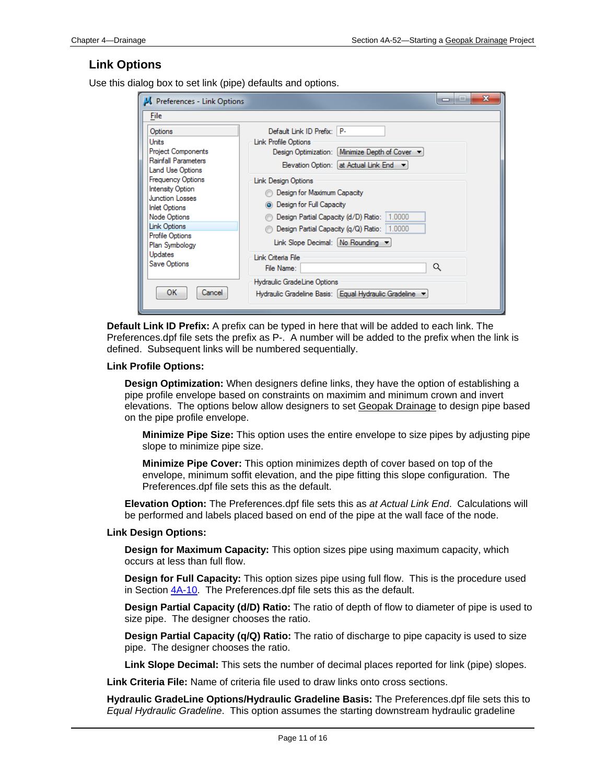#### **Link Options**

Use this dialog box to set link (pipe) defaults and options.

| Preferences - Link Options                                                                                                                                                                                                                                                                                                                                                                                                                                                                                                                          | x<br>-                                                                                                                                                                                                                                                                                   |
|-----------------------------------------------------------------------------------------------------------------------------------------------------------------------------------------------------------------------------------------------------------------------------------------------------------------------------------------------------------------------------------------------------------------------------------------------------------------------------------------------------------------------------------------------------|------------------------------------------------------------------------------------------------------------------------------------------------------------------------------------------------------------------------------------------------------------------------------------------|
| File                                                                                                                                                                                                                                                                                                                                                                                                                                                                                                                                                |                                                                                                                                                                                                                                                                                          |
| Default Link ID Prefix: P-<br>Options<br>Units<br>Link Profile Options<br>Project Components<br><b>Rainfall Parameters</b><br>Land Use Options<br><b>Frequency Options</b><br><b>Link Design Options</b><br><b>Intensity Option</b><br>Design for Maximum Capacity<br><b>Junction Losses</b><br><b>O</b> Design for Full Capacity<br><b>Inlet Options</b><br>Node Options<br>Link Options<br>Profile Options<br>Plan Symbology<br><b>Updates</b><br>Link Criteria File<br>Save Options<br>File Name:<br>Hydraulic GradeLine Options<br>ок<br>Cancel | Design Optimization: Minimize Depth of Cover<br>Elevation Option: at Actual Link End ▼<br>Design Partial Capacity (d/D) Ratio:   1.0000<br>Design Partial Capacity (q/Q) Ratio: 1.0000<br>Link Slope Decimal: No Rounding<br>Q<br>Hydraulic Gradeline Basis: Equal Hydraulic Gradeline ▼ |

**Default Link ID Prefix:** A prefix can be typed in here that will be added to each link. The Preferences.dpf file sets the prefix as P-. A number will be added to the prefix when the link is defined. Subsequent links will be numbered sequentially.

#### **Link Profile Options:**

**Design Optimization:** When designers define links, they have the option of establishing a pipe profile envelope based on constraints on maximim and minimum crown and invert elevations. The options below allow designers to set Geopak Drainage to design pipe based on the pipe profile envelope.

**Minimize Pipe Size:** This option uses the entire envelope to size pipes by adjusting pipe slope to minimize pipe size.

**Minimize Pipe Cover:** This option minimizes depth of cover based on top of the envelope, minimum soffit elevation, and the pipe fitting this slope configuration. The Preferences.dpf file sets this as the default.

**Elevation Option:** The Preferences.dpf file sets this as *at Actual Link End*. Calculations will be performed and labels placed based on end of the pipe at the wall face of the node.

#### **Link Design Options:**

**Design for Maximum Capacity:** This option sizes pipe using maximum capacity, which occurs at less than full flow.

**Design for Full Capacity:** This option sizes pipe using full flow. This is the procedure used in Section 4A-10. The Preferences.dpf file sets this as the default.

**Design Partial Capacity (d/D) Ratio:** The ratio of depth of flow to diameter of pipe is used to size pipe. The designer chooses the ratio.

**Design Partial Capacity (q/Q) Ratio:** The ratio of discharge to pipe capacity is used to size pipe. The designer chooses the ratio.

**Link Slope Decimal:** This sets the number of decimal places reported for link (pipe) slopes.

**Link Criteria File:** Name of criteria file used to draw links onto cross sections.

**Hydraulic GradeLine Options/Hydraulic Gradeline Basis:** The Preferences.dpf file sets this to *Equal Hydraulic Gradeline*. This option assumes the starting downstream hydraulic gradeline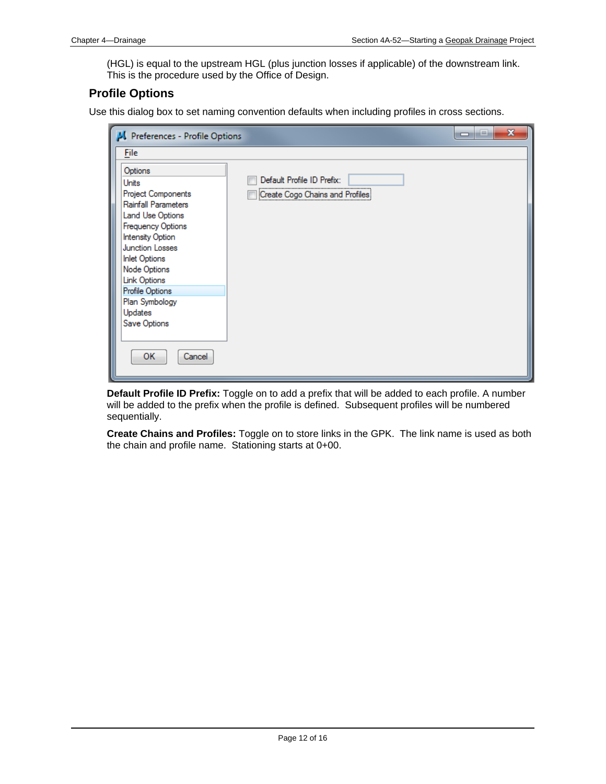(HGL) is equal to the upstream HGL (plus junction losses if applicable) of the downstream link. This is the procedure used by the Office of Design.

## **Profile Options**

Use this dialog box to set naming convention defaults when including profiles in cross sections.

| Preferences - Profile Options                                                                                                                                                                                                                                                                       | $\mathbf x$<br>لعارص                                          |  |
|-----------------------------------------------------------------------------------------------------------------------------------------------------------------------------------------------------------------------------------------------------------------------------------------------------|---------------------------------------------------------------|--|
| File                                                                                                                                                                                                                                                                                                |                                                               |  |
| Options<br>Units<br>Project Components<br>Rainfall Parameters<br>Land Use Options<br>Frequency Options<br>Intensity Option<br><b>Junction Losses</b><br><b>Inlet Options</b><br>Node Options<br><b>Link Options</b><br>Profile Options<br>Plan Symbology<br>Updates<br>Save Options<br>ОΚ<br>Cancel | Default Profile ID Prefix:<br>Create Cogo Chains and Profiles |  |
|                                                                                                                                                                                                                                                                                                     |                                                               |  |

**Default Profile ID Prefix:** Toggle on to add a prefix that will be added to each profile. A number will be added to the prefix when the profile is defined. Subsequent profiles will be numbered sequentially.

**Create Chains and Profiles:** Toggle on to store links in the GPK. The link name is used as both the chain and profile name. Stationing starts at 0+00.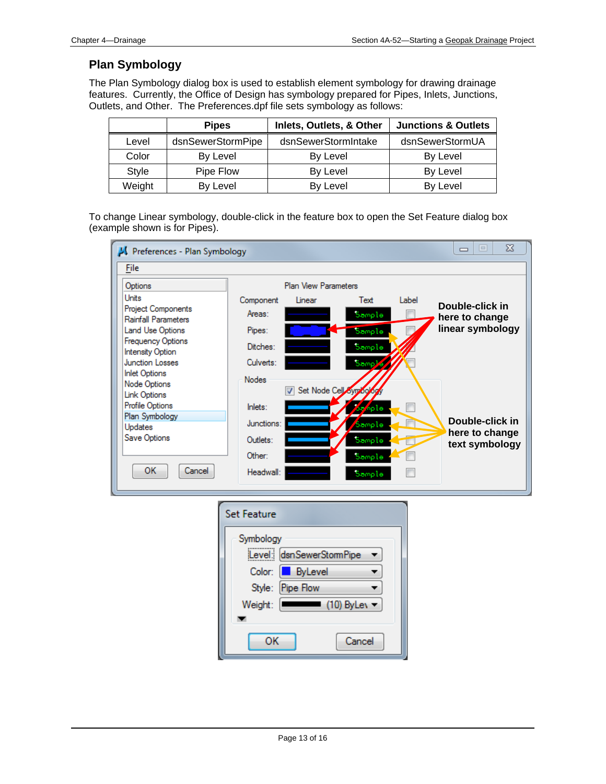## **Plan Symbology**

The Plan Symbology dialog box is used to establish element symbology for drawing drainage features. Currently, the Office of Design has symbology prepared for Pipes, Inlets, Junctions, Outlets, and Other. The Preferences.dpf file sets symbology as follows:

|        | <b>Pipes</b>      | Inlets, Outlets, & Other | <b>Junctions &amp; Outlets</b> |
|--------|-------------------|--------------------------|--------------------------------|
| Level  | dsnSewerStormPipe | dsnSewerStormIntake      | dsnSewerStormUA                |
| Color  | By Level          | By Level                 | By Level                       |
| Style  | Pipe Flow         | By Level                 | By Level                       |
| Weight | By Level          | By Level                 | By Level                       |

To change Linear symbology, double-click in the feature box to open the Set Feature dialog box (example shown is for Pipes).

| Preferences - Plan Symbology                                |                    |                             |                     |       | x<br>$=$<br>$\qquad \qquad \Box$ |
|-------------------------------------------------------------|--------------------|-----------------------------|---------------------|-------|----------------------------------|
| File                                                        |                    |                             |                     |       |                                  |
| Options                                                     |                    | <b>Plan View Parameters</b> |                     |       |                                  |
| Units                                                       | Component          | Linear                      | Text                | Label | Double-click in                  |
| <b>Project Components</b><br><b>Rainfall Parameters</b>     | Areas:             |                             | Sample              |       | here to change                   |
| <b>Land Use Options</b>                                     | Pipes:             |                             | Sample              |       | linear symbology                 |
| Frequency Options<br><b>Intensity Option</b>                | Ditches:           |                             | Sample              |       |                                  |
| <b>Junction Losses</b>                                      | Culverts:          |                             | Samp <sup>1</sup> e |       |                                  |
| <b>Inlet Options</b><br>Node Options<br><b>Link Options</b> | <b>Nodes</b>       | Set Node Cell Symoolog      |                     |       |                                  |
| Profile Options                                             | Inlets:            |                             | az nple             |       |                                  |
| Plan Symbology<br>Updates                                   | Junctions:         |                             | Sample              |       | Double-click in                  |
| Save Options                                                | Outlets:           |                             | Sample              |       | here to change                   |
|                                                             | Other:             |                             |                     |       | text symbology                   |
| <b>OK</b><br>Cancel                                         |                    |                             | Sample              |       |                                  |
|                                                             | Headwall:          |                             | Sample              |       |                                  |
|                                                             |                    |                             |                     |       |                                  |
|                                                             | <b>Set Feature</b> |                             |                     |       |                                  |
|                                                             | Symbology          | Level: dsnSewerStomPipe     |                     |       |                                  |
|                                                             |                    |                             |                     |       |                                  |
|                                                             | Color:             | ByLevel                     |                     |       |                                  |
|                                                             | Style:             | <b>Pipe Flow</b>            |                     |       |                                  |
|                                                             | Weight:            |                             | (10) ByLev ▼        |       |                                  |
|                                                             |                    |                             |                     |       |                                  |

Cancel

OK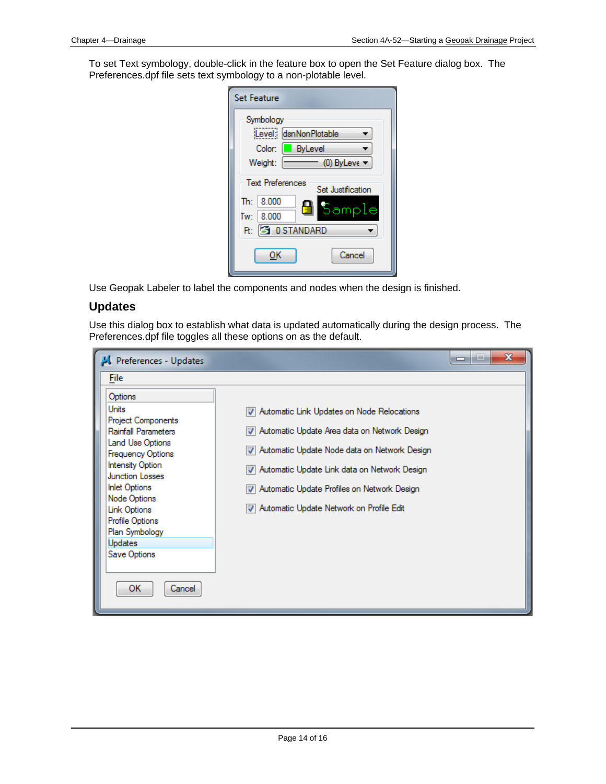To set Text symbology, double-click in the feature box to open the Set Feature dialog box. The Preferences.dpf file sets text symbology to a non-plotable level.

| <b>Set Feature</b>                                                                                                    |                                   |
|-----------------------------------------------------------------------------------------------------------------------|-----------------------------------|
| Symbology<br>Level: dsnNonPlotable<br><b>ByLevel</b><br>Color:<br>Weight:                                             | $(0)$ ByLeve $\blacktriangledown$ |
| <b>Text Preferences</b><br>Set Justification<br>8.000<br>$\mathbf{Th}$ :<br>Tw: 8.000<br><b>R:</b> 3 0 STANDARD<br>ок | Sample<br>Cancel                  |

Use Geopak Labeler to label the components and nodes when the design is finished.

#### **Updates**

Use this dialog box to establish what data is updated automatically during the design process. The Preferences.dpf file toggles all these options on as the default.

| Preferences - Updates                                                                                                                                                                                                                                                                                                    | x<br>المتساهد                                                                                                                                                                                                                                                                                  |
|--------------------------------------------------------------------------------------------------------------------------------------------------------------------------------------------------------------------------------------------------------------------------------------------------------------------------|------------------------------------------------------------------------------------------------------------------------------------------------------------------------------------------------------------------------------------------------------------------------------------------------|
| <b>File</b>                                                                                                                                                                                                                                                                                                              |                                                                                                                                                                                                                                                                                                |
| Options<br>Units<br>Project Components<br>Rainfall Parameters<br>Land Use Options<br><b>Frequency Options</b><br><b>Intensity Option</b><br><b>Junction Losses</b><br><b>Inlet Options</b><br>Node Options<br><b>Link Options</b><br><b>Profile Options</b><br>Plan Symbology<br>Updates<br>Save Options<br>ОΚ<br>Cancel | V Automatic Link Updates on Node Relocations<br>Automatic Update Area data on Network Design<br>Automatic Update Node data on Network Design<br>V Automatic Update Link data on Network Design<br>Automatic Update Profiles on Network Design<br>ॼ<br>Automatic Update Network on Profile Edit |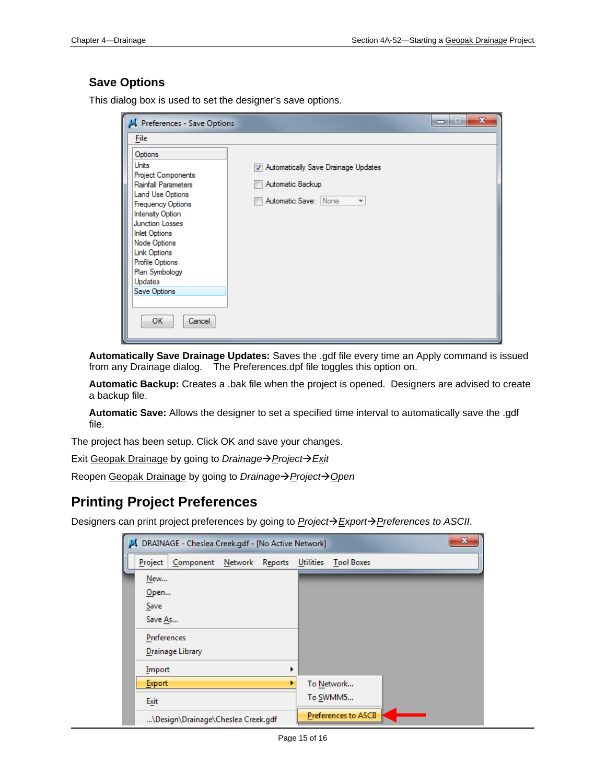## **Save Options**

This dialog box is used to set the designer's save options.

| $\overline{\mathbf{x}}$<br>العارات<br>Preferences - Save Options                                                                                      |                                                                                                             |  |  |
|-------------------------------------------------------------------------------------------------------------------------------------------------------|-------------------------------------------------------------------------------------------------------------|--|--|
| File<br>Options<br>Units<br>Project Components<br><b>Rainfall Parameters</b><br>Land Use Options<br><b>Frequency Options</b><br>Intensity Option      | Automatically Save Drainage Updates<br>Automatic Backup<br>Automatic Save: None<br>$\overline{\phantom{a}}$ |  |  |
| <b>Junction Losses</b><br><b>Inlet Options</b><br>Node Options<br><b>Link Options</b><br>Profile Options<br>Plan Symbology<br>Updates<br>Save Options |                                                                                                             |  |  |
| OK.<br>Cancel                                                                                                                                         |                                                                                                             |  |  |

**Automatically Save Drainage Updates:** Saves the .gdf file every time an Apply command is issued from any Drainage dialog. The Preferences.dpf file toggles this option on.

**Automatic Backup:** Creates a .bak file when the project is opened. Designers are advised to create a backup file.

**Automatic Save:** Allows the designer to set a specified time interval to automatically save the .gdf file.

The project has been setup. Click OK and save your changes.

Exit Geopak Drainage by going to *Drainage→ Project→ Exit* 

Reopen Geopak Drainage by going to *Drainage* → *Project* → Open

## **Printing Project Preferences**

Designers can print project preferences by going to *ProjectExportPreferences to ASCII*.

| x<br>DRAINAGE - Cheslea Creek.gdf - [No Active Network] |                                      |                                       |  |
|---------------------------------------------------------|--------------------------------------|---------------------------------------|--|
|                                                         | Project<br>Component Network Reports | <b>Utilities</b><br><b>Tool Boxes</b> |  |
|                                                         | New<br>Open                          |                                       |  |
|                                                         | Save<br>Save As                      |                                       |  |
|                                                         | Preferences                          |                                       |  |
|                                                         | Drainage Library                     |                                       |  |
|                                                         | Import                               |                                       |  |
|                                                         | <b>Export</b>                        | To Network                            |  |
|                                                         | Exit                                 | To SWMM5                              |  |
|                                                         | \Design\Drainage\Cheslea Creek.gdf   | <b>Preferences to ASCII</b>           |  |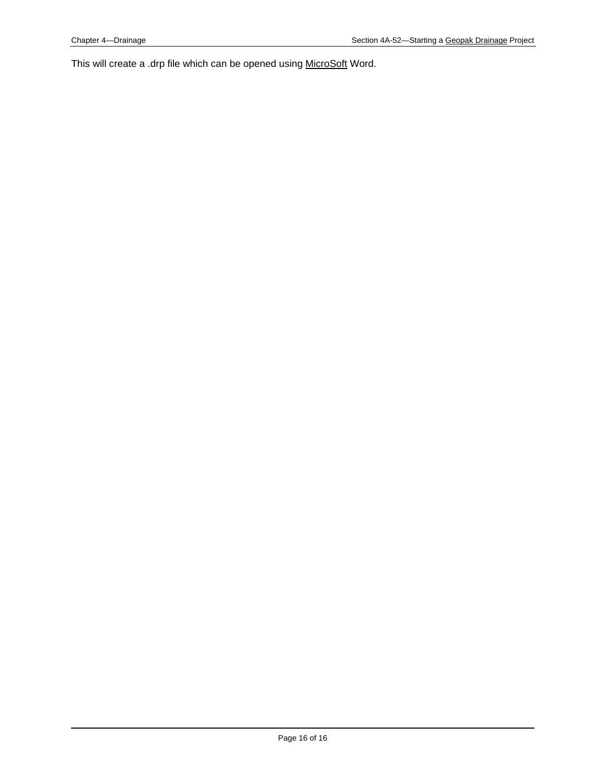This will create a .drp file which can be opened using MicroSoft Word.